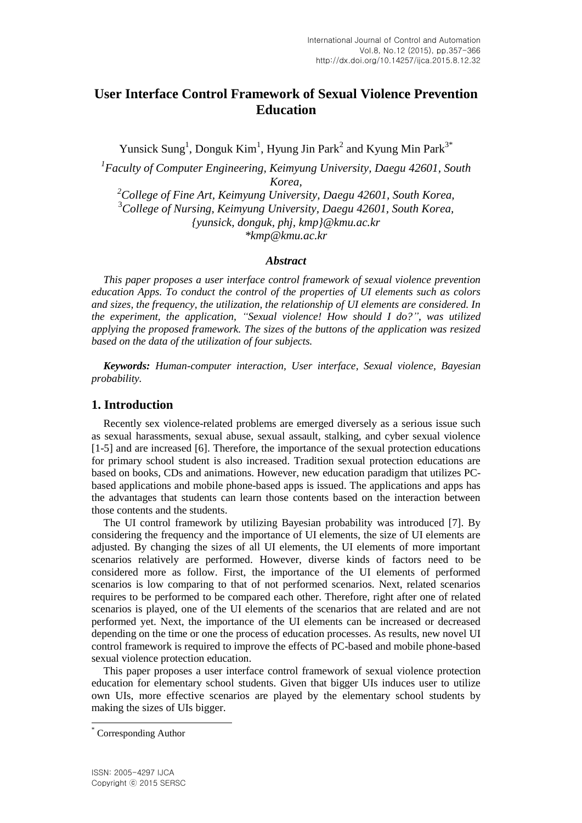# **User Interface Control Framework of Sexual Violence Prevention Education**

Yunsick Sung<sup>1</sup>, Donguk Kim<sup>1</sup>, Hyung Jin Park<sup>2</sup> and Kyung Min Park<sup>3\*</sup>

*1 Faculty of Computer Engineering, Keimyung University, Daegu 42601, South Korea, <sup>2</sup>College of Fine Art, Keimyung University, Daegu 42601, South Korea,* <sup>3</sup>*College of Nursing, Keimyung University, Daegu 42601, South Korea, {yunsick, donguk, phj, kmp}@kmu.ac.kr \*kmp@kmu.ac.kr*

#### *Abstract*

*This paper proposes a user interface control framework of sexual violence prevention education Apps. To conduct the control of the properties of UI elements such as colors and sizes, the frequency, the utilization, the relationship of UI elements are considered. In the experiment, the application, "Sexual violence! How should I do?", was utilized applying the proposed framework. The sizes of the buttons of the application was resized based on the data of the utilization of four subjects.*

*Keywords: Human-computer interaction, User interface, Sexual violence, Bayesian probability.*

## **1. Introduction**

Recently sex violence-related problems are emerged diversely as a serious issue such as sexual harassments, sexual abuse, sexual assault, stalking, and cyber sexual violence [1-5] and are increased [6]. Therefore, the importance of the sexual protection educations for primary school student is also increased. Tradition sexual protection educations are based on books, CDs and animations. However, new education paradigm that utilizes PCbased applications and mobile phone-based apps is issued. The applications and apps has the advantages that students can learn those contents based on the interaction between those contents and the students.

The UI control framework by utilizing Bayesian probability was introduced [7]. By considering the frequency and the importance of UI elements, the size of UI elements are adjusted. By changing the sizes of all UI elements, the UI elements of more important scenarios relatively are performed. However, diverse kinds of factors need to be considered more as follow. First, the importance of the UI elements of performed scenarios is low comparing to that of not performed scenarios. Next, related scenarios requires to be performed to be compared each other. Therefore, right after one of related scenarios is played, one of the UI elements of the scenarios that are related and are not performed yet. Next, the importance of the UI elements can be increased or decreased depending on the time or one the process of education processes. As results, new novel UI control framework is required to improve the effects of PC-based and mobile phone-based sexual violence protection education.

This paper proposes a user interface control framework of sexual violence protection education for elementary school students. Given that bigger UIs induces user to utilize own UIs, more effective scenarios are played by the elementary school students by making the sizes of UIs bigger.

l

Corresponding Author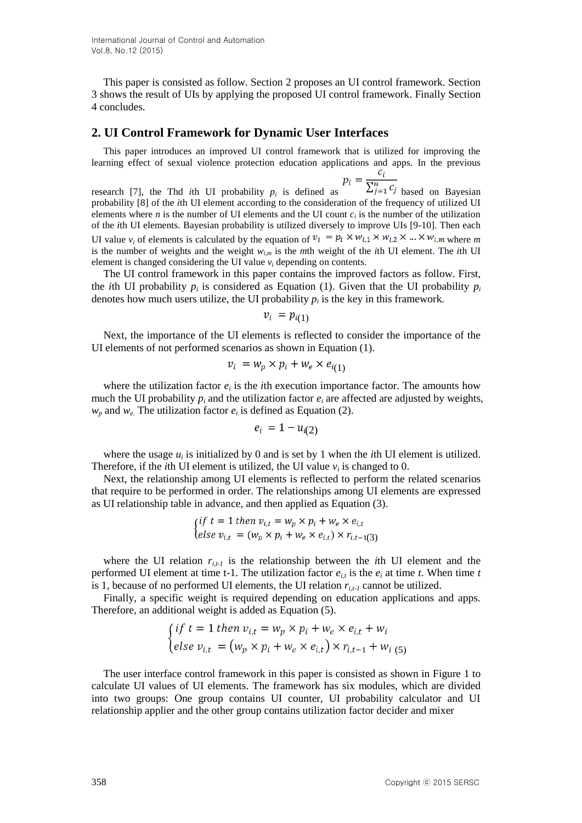This paper is consisted as follow. Section 2 proposes an UI control framework. Section 3 shows the result of UIs by applying the proposed UI control framework. Finally Section 4 concludes.

#### **2. UI Control Framework for Dynamic User Interfaces**

This paper introduces an improved UI control framework that is utilized for improving the learning effect of sexual violence protection education applications and apps. In the previous

research [7], the Thd *i*th UI probability  $p_i$  is defined as  $\Delta j=1$  based on Bayesian probability [8] of the *i*th UI element according to the consideration of the frequency of utilized UI elements where *n* is the number of UI elements and the UI count  $c_i$  is the number of the utilization of the *i*th UI elements. Bayesian probability is utilized diversely to improve UIs [9-10]. Then each UI value  $v_i$  of elements is calculated by the equation of  $v_i = p_i \times w_{i,1} \times w_{i,2} \times ... \times w_{i,m}$  where *m* is the number of weights and the weight *wi,m* is the *m*th weight of the *i*th UI element. The *i*th UI element is changed considering the UI value  $v_i$  depending on contents.

The UI control framework in this paper contains the improved factors as follow. First, the *i*th UI probability  $p_i$  is considered as Equation (1). Given that the UI probability  $p_i$ denotes how much users utilize, the UI probability  $p_i$  is the key in this framework.

$$
v_i = p_{i(1)}
$$

Next, the importance of the UI elements is reflected to consider the importance of the UI elements of not performed scenarios as shown in Equation (1).

$$
v_i = w_p \times p_i + w_e \times e_{i(1)}
$$

where the utilization factor  $e_i$  is the *i*th execution importance factor. The amounts how much the UI probability  $p_i$  and the utilization factor  $e_i$  are affected are adjusted by weights,  $w_p$  and  $w_e$ . The utilization factor  $e_i$  is defined as Equation (2).

$$
e_i = 1 - u_{i(2)}
$$

where the usage  $u_i$  is initialized by 0 and is set by 1 when the *i*th UI element is utilized. Therefore, if the *i*th UI element is utilized, the UI value  $v_i$  is changed to 0.

Next, the relationship among UI elements is reflected to perform the related scenarios that require to be performed in order. The relationships among UI elements are expressed as UI relationship table in advance, and then applied as Equation (3).

$$
\begin{cases} if \ t = 1 \ then \ v_{i,t} = w_p \times p_i + w_e \times e_{i,t} \\ else \ v_{i,t} = (w_p \times p_i + w_e \times e_{i,t}) \times r_{i,t-1}(3) \end{cases}
$$

where the UI relation  $r_{i,t}$  is the relationship between the *i*th UI element and the performed UI element at time t-1. The utilization factor  $e_i$  is the  $e_i$  at time *t*. When time *t* is 1, because of no performed UI elements, the UI relation  $r_{i,t}$  cannot be utilized.

Finally, a specific weight is required depending on education applications and apps. Therefore, an additional weight is added as Equation (5).

$$
\begin{cases} if \ t = 1 \ then \ v_{i,t} = w_p \times p_i + w_e \times e_{i,t} + w_i \\ else \ v_{i,t} = (w_p \times p_i + w_e \times e_{i,t}) \times r_{i,t-1} + w_{i} \\ (5) \end{cases}
$$

The user interface control framework in this paper is consisted as shown in Figure 1 to calculate UI values of UI elements. The framework has six modules, which are divided into two groups: One group contains UI counter, UI probability calculator and UI relationship applier and the other group contains utilization factor decider and mixer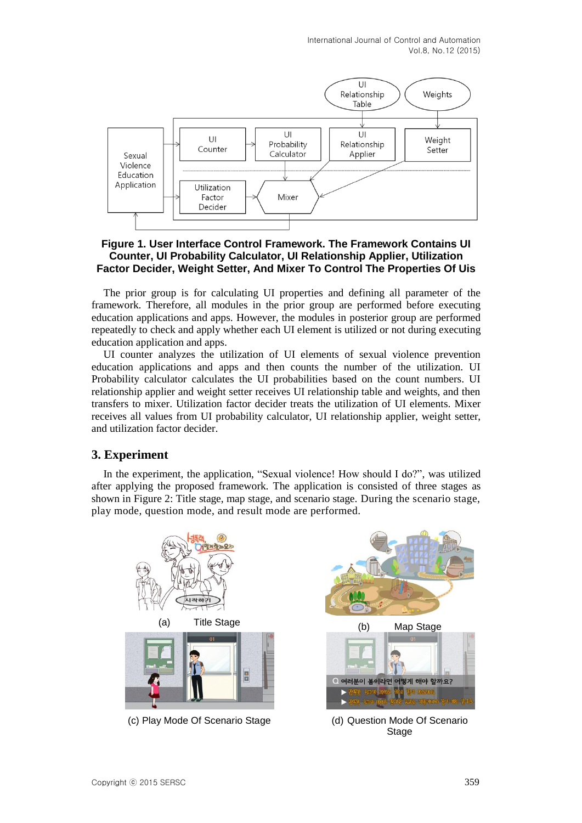

### **Figure 1. User Interface Control Framework. The Framework Contains UI Counter, UI Probability Calculator, UI Relationship Applier, Utilization Factor Decider, Weight Setter, And Mixer To Control The Properties Of Uis**

The prior group is for calculating UI properties and defining all parameter of the framework. Therefore, all modules in the prior group are performed before executing education applications and apps. However, the modules in posterior group are performed repeatedly to check and apply whether each UI element is utilized or not during executing education application and apps.

UI counter analyzes the utilization of UI elements of sexual violence prevention education applications and apps and then counts the number of the utilization. UI Probability calculator calculates the UI probabilities based on the count numbers. UI relationship applier and weight setter receives UI relationship table and weights, and then transfers to mixer. Utilization factor decider treats the utilization of UI elements. Mixer receives all values from UI probability calculator, UI relationship applier, weight setter, and utilization factor decider.

## **3. Experiment**

In the experiment, the application, "Sexual violence! How should I do?", was utilized after applying the proposed framework. The application is consisted of three stages as shown in Figure 2: Title stage, map stage, and scenario stage. During the scenario stage, play mode, question mode, and result mode are performed.



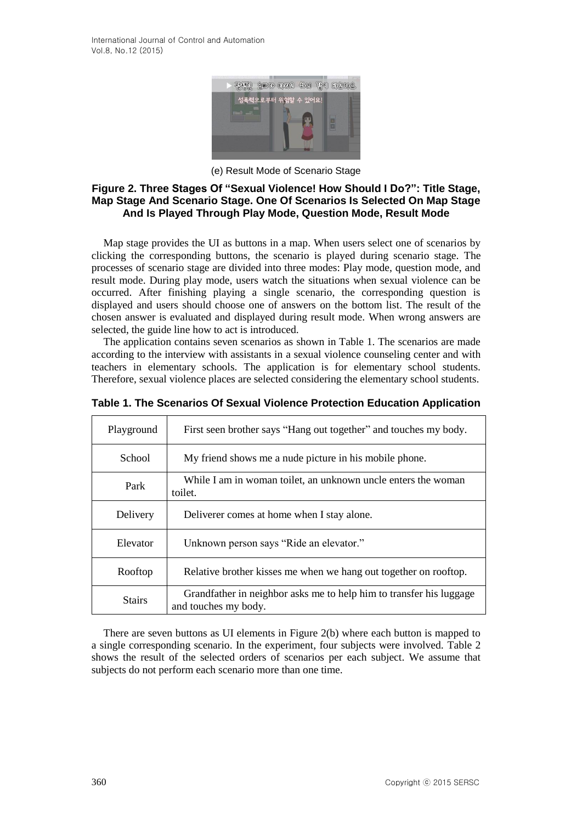

(e) Result Mode of Scenario Stage

#### **Figure 2. Three Stages Of "Sexual Violence! How Should I Do?": Title Stage, Map Stage And Scenario Stage. One Of Scenarios Is Selected On Map Stage And Is Played Through Play Mode, Question Mode, Result Mode**

Map stage provides the UI as buttons in a map. When users select one of scenarios by clicking the corresponding buttons, the scenario is played during scenario stage. The processes of scenario stage are divided into three modes: Play mode, question mode, and result mode. During play mode, users watch the situations when sexual violence can be occurred. After finishing playing a single scenario, the corresponding question is displayed and users should choose one of answers on the bottom list. The result of the chosen answer is evaluated and displayed during result mode. When wrong answers are selected, the guide line how to act is introduced.

The application contains seven scenarios as shown in Table 1. The scenarios are made according to the interview with assistants in a sexual violence counseling center and with teachers in elementary schools. The application is for elementary school students. Therefore, sexual violence places are selected considering the elementary school students.

| Playground    | First seen brother says "Hang out together" and touches my body.                            |
|---------------|---------------------------------------------------------------------------------------------|
| School        | My friend shows me a nude picture in his mobile phone.                                      |
| Park          | While I am in woman toilet, an unknown uncle enters the woman<br>toilet.                    |
| Delivery      | Deliverer comes at home when I stay alone.                                                  |
| Elevator      | Unknown person says "Ride an elevator."                                                     |
| Rooftop       | Relative brother kisses me when we hang out together on rooftop.                            |
| <b>Stairs</b> | Grandfather in neighbor asks me to help him to transfer his luggage<br>and touches my body. |

**Table 1. The Scenarios Of Sexual Violence Protection Education Application**

There are seven buttons as UI elements in Figure 2(b) where each button is mapped to a single corresponding scenario. In the experiment, four subjects were involved. Table 2 shows the result of the selected orders of scenarios per each subject. We assume that subjects do not perform each scenario more than one time.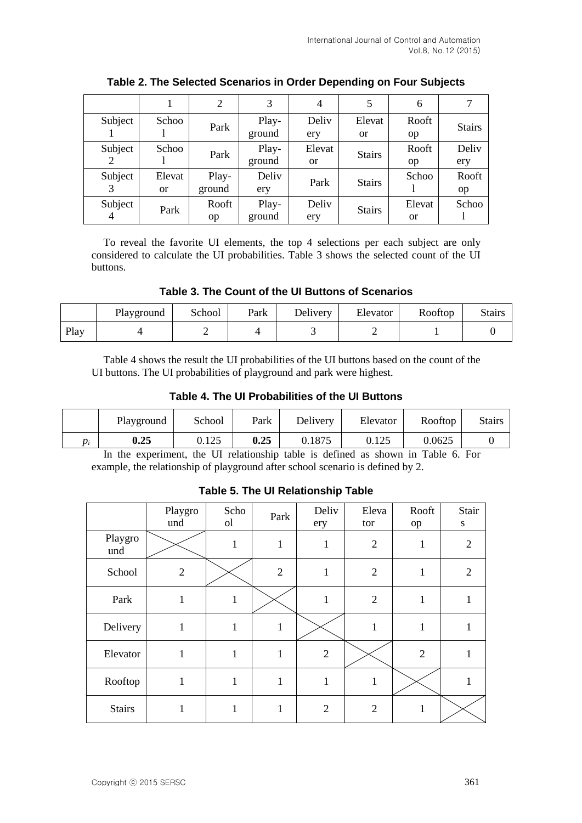|              |                     | 2               | 3               | 4                   | 5                       | 6                   |               |
|--------------|---------------------|-----------------|-----------------|---------------------|-------------------------|---------------------|---------------|
| Subject      | Schoo               | Park            | Play-<br>ground | Deliy<br>ery        | Elevat<br><sub>or</sub> | Rooft<br>op         | <b>Stairs</b> |
| Subject<br>2 | Schoo               | Park            | Play-<br>ground | Elevat<br><b>or</b> | <b>Stairs</b>           | Rooft<br>op         | Deliv<br>ery  |
| Subject      | Elevat<br><b>or</b> | Play-<br>ground | Deliv<br>ery    | Park                | <b>Stairs</b>           | Schoo               | Rooft<br>op   |
| Subject      | Park                | Rooft<br>op     | Play-<br>ground | Deliy<br>ery        | <b>Stairs</b>           | Elevat<br><b>or</b> | Schoo         |

**Table 2. The Selected Scenarios in Order Depending on Four Subjects**

To reveal the favorite UI elements, the top 4 selections per each subject are only considered to calculate the UI probabilities. Table 3 shows the selected count of the UI buttons.

**Table 3. The Count of the UI Buttons of Scenarios**

|      | Playground | School | Park | Delivery | Elevator | Rooftop | <b>Stairs</b> |
|------|------------|--------|------|----------|----------|---------|---------------|
| Play |            |        |      |          |          |         |               |

Table 4 shows the result the UI probabilities of the UI buttons based on the count of the UI buttons. The UI probabilities of playground and park were highest.

**Table 4. The UI Probabilities of the UI Buttons**

|    | Playground | School | Park | Delivery | Elevator | Rooftop | <b>Stairs</b> |
|----|------------|--------|------|----------|----------|---------|---------------|
| D; | 0.25       | 0.125  | 0.25 | 0.1875   | 0.125    | 0.0625  |               |

In the experiment, the UI relationship table is defined as shown in Table 6. For example, the relationship of playground after school scenario is defined by 2.

|                | Playgro<br>und | Scho<br><sub>o</sub> l | Park           | Deliv<br>ery   | Eleva<br>tor   | Rooft<br>op    | Stair<br>${\bf S}$ |
|----------------|----------------|------------------------|----------------|----------------|----------------|----------------|--------------------|
| Playgro<br>und |                | 1                      | $\mathbf{1}$   | 1              | $\overline{2}$ | 1              | $\overline{2}$     |
| School         | $\overline{2}$ |                        | $\overline{2}$ | 1              | $\mathfrak{2}$ | $\mathbf{1}$   | $\overline{2}$     |
| Park           |                | ı                      |                | -1             | $\overline{2}$ | 1              |                    |
| Delivery       | 1              | 1                      | $\mathbf{1}$   |                | 1              | $\mathbf{1}$   | 1                  |
| Elevator       | 1              | 1                      | 1              | $\overline{2}$ |                | $\overline{2}$ |                    |
| Rooftop        | $\mathbf{1}$   | $\mathbf{1}$           | $\mathbf{1}$   | 1              | 1              |                |                    |
| <b>Stairs</b>  | 1              | 1                      | $\mathbf{1}$   | $\overline{2}$ | 2              | 1              |                    |

## **Table 5. The UI Relationship Table**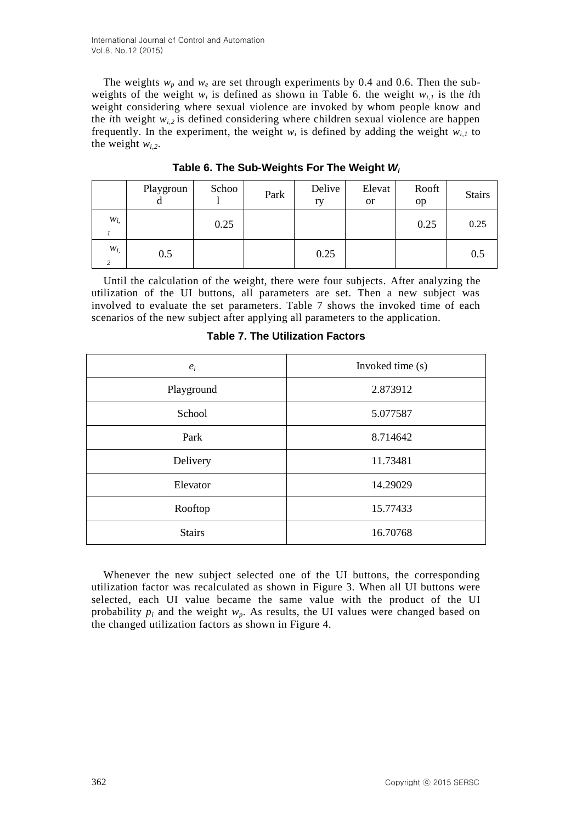The weights  $w_p$  and  $w_e$  are set through experiments by 0.4 and 0.6. Then the subweights of the weight  $w_i$  is defined as shown in Table 6. the weight  $w_{i,l}$  is the *i*th weight considering where sexual violence are invoked by whom people know and the *i*th weight  $w_{i,2}$  is defined considering where children sexual violence are happen frequently. In the experiment, the weight  $w_i$  is defined by adding the weight  $w_{i,1}$  to the weight  $w_{i,2}$ .

|                            | Playgroun<br>d | Schoo | Park | Delive<br>ry | Elevat<br><b>or</b> | Rooft<br>op | <b>Stairs</b> |
|----------------------------|----------------|-------|------|--------------|---------------------|-------------|---------------|
| $W_{i,}$                   |                | 0.25  |      |              |                     | 0.25        | 0.25          |
| $W_{i,}$<br>$\overline{c}$ | 0.5            |       |      | 0.25         |                     |             | 0.5           |

**Table 6. The Sub-Weights For The Weight** *W<sup>i</sup>*

Until the calculation of the weight, there were four subjects. After analyzing the utilization of the UI buttons, all parameters are set. Then a new subject was involved to evaluate the set parameters. Table 7 shows the invoked time of each scenarios of the new subject after applying all parameters to the application.

| $e_i$         | Invoked time (s) |
|---------------|------------------|
| Playground    | 2.873912         |
| School        | 5.077587         |
| Park          | 8.714642         |
| Delivery      | 11.73481         |
| Elevator      | 14.29029         |
| Rooftop       | 15.77433         |
| <b>Stairs</b> | 16.70768         |

**Table 7. The Utilization Factors**

Whenever the new subject selected one of the UI buttons, the corresponding utilization factor was recalculated as shown in Figure 3. When all UI buttons were selected, each UI value became the same value with the product of the UI probability  $p_i$  and the weight  $w_p$ . As results, the UI values were changed based on the changed utilization factors as shown in Figure 4.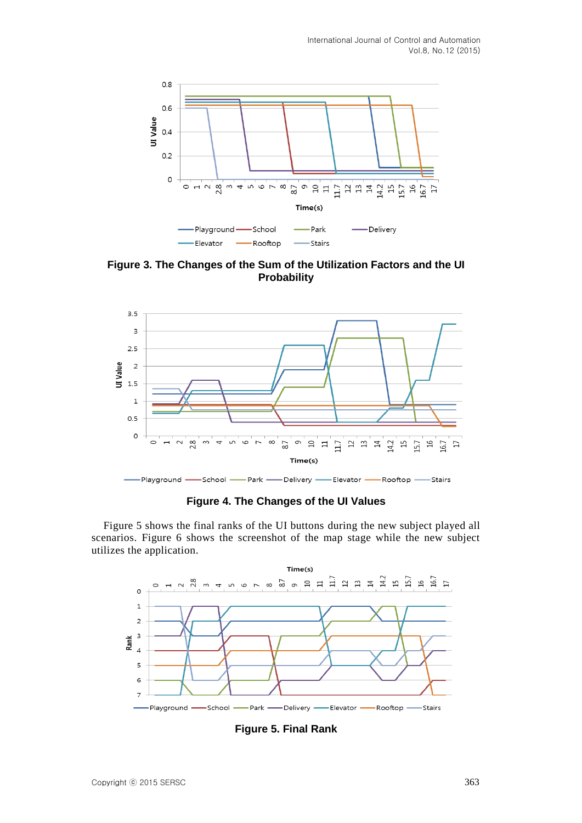

**Figure 3. The Changes of the Sum of the Utilization Factors and the UI Probability**



**Figure 4. The Changes of the UI Values**

Figure 5 shows the final ranks of the UI buttons during the new subject played all scenarios. Figure 6 shows the screenshot of the map stage while the new subject utilizes the application.



**Figure 5. Final Rank**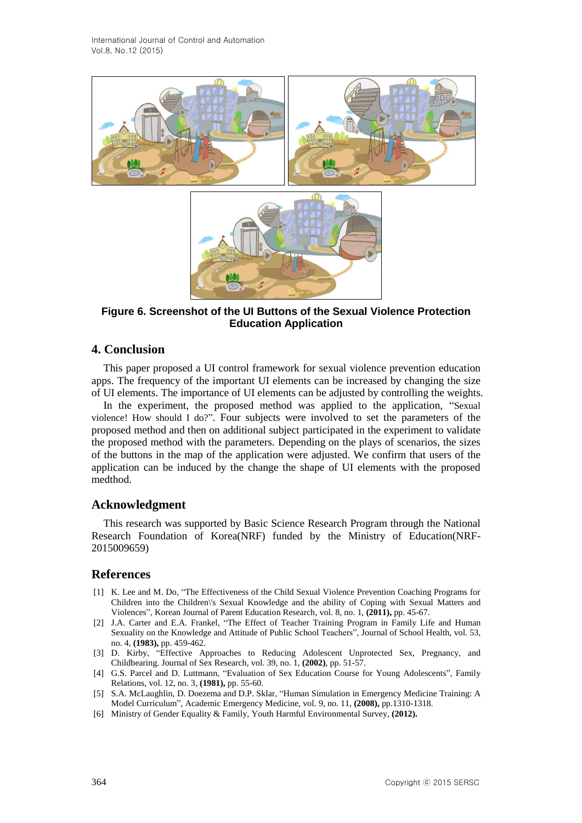

**Figure 6. Screenshot of the UI Buttons of the Sexual Violence Protection Education Application**

### **4. Conclusion**

This paper proposed a UI control framework for sexual violence prevention education apps. The frequency of the important UI elements can be increased by changing the size of UI elements. The importance of UI elements can be adjusted by controlling the weights.

In the experiment, the proposed method was applied to the application, "Sexual violence! How should I do?". Four subjects were involved to set the parameters of the proposed method and then on additional subject participated in the experiment to validate the proposed method with the parameters. Depending on the plays of scenarios, the sizes of the buttons in the map of the application were adjusted. We confirm that users of the application can be induced by the change the shape of UI elements with the proposed medthod.

#### **Acknowledgment**

This research was supported by Basic Science Research Program through the National Research Foundation of Korea(NRF) funded by the Ministry of Education(NRF-2015009659)

### **References**

- [1] K. Lee and M. Do, "The Effectiveness of the Child Sexual Violence Prevention Coaching Programs for Children into the Children\'s Sexual Knowledge and the ability of Coping with Sexual Matters and Violences", Korean Journal of Parent Education Research, vol. 8, no. 1, **(2011),** pp. 45-67.
- [2] J.A. Carter and E.A. Frankel, "The Effect of Teacher Training Program in Family Life and Human Sexuality on the Knowledge and Attitude of Public School Teachers", Journal of School Health, vol. 53, no. 4, **(1983),** pp. 459-462.
- [3] D. Kirby, "Effective Approaches to Reducing Adolescent Unprotected Sex, Pregnancy, and Childbearing. Journal of Sex Research, vol. 39, no. 1, **(2002)**, pp. 51-57.
- [4] G.S. Parcel and D. Luttmann, "Evaluation of Sex Education Course for Young Adolescents", Family Relations, vol. 12, no. 3, **(1981),** pp. 55-60.
- [5] S.A. McLaughlin, D. Doezema and D.P. Sklar, "Human Simulation in Emergency Medicine Training: A Model Curriculum", Academic Emergency Medicine, vol. 9, no. 11, **(2008),** pp.1310-1318.
- [6] Ministry of Gender Equality & Family, Youth Harmful Environmental Survey, **(2012).**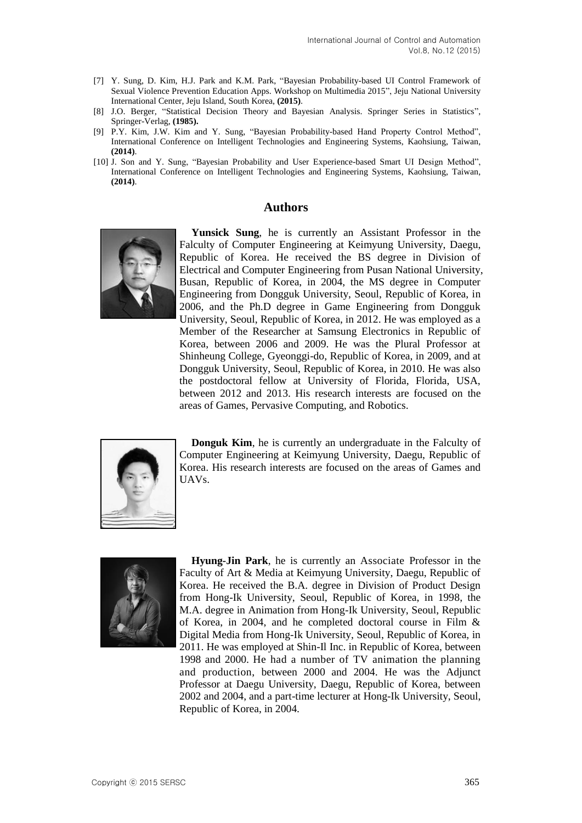- [7] Y. Sung, D. Kim, H.J. Park and K.M. Park, "Bayesian Probability-based UI Control Framework of Sexual Violence Prevention Education Apps. Workshop on Multimedia 2015", Jeju National University International Center, Jeju Island, South Korea, **(2015)**.
- [8] J.O. Berger, "Statistical Decision Theory and Bayesian Analysis. Springer Series in Statistics", Springer-Verlag, **(1985).**
- [9] P.Y. Kim, J.W. Kim and Y. Sung, "Bayesian Probability-based Hand Property Control Method", International Conference on Intelligent Technologies and Engineering Systems, Kaohsiung, Taiwan, **(2014)**.
- [10] J. Son and Y. Sung, "Bayesian Probability and User Experience-based Smart UI Design Method", International Conference on Intelligent Technologies and Engineering Systems, Kaohsiung, Taiwan, **(2014)**.

#### **Authors**



**Yunsick Sung**, he is currently an Assistant Professor in the Falculty of Computer Engineering at Keimyung University, Daegu, Republic of Korea. He received the BS degree in Division of Electrical and Computer Engineering from Pusan National University, Busan, Republic of Korea, in 2004, the MS degree in Computer Engineering from Dongguk University, Seoul, Republic of Korea, in 2006, and the Ph.D degree in Game Engineering from Dongguk University, Seoul, Republic of Korea, in 2012. He was employed as a Member of the Researcher at Samsung Electronics in Republic of Korea, between 2006 and 2009. He was the Plural Professor at Shinheung College, Gyeonggi-do, Republic of Korea, in 2009, and at Dongguk University, Seoul, Republic of Korea, in 2010. He was also the postdoctoral fellow at University of Florida, Florida, USA, between 2012 and 2013. His research interests are focused on the areas of Games, Pervasive Computing, and Robotics.



**Donguk Kim**, he is currently an undergraduate in the Falculty of Computer Engineering at Keimyung University, Daegu, Republic of Korea. His research interests are focused on the areas of Games and UAVs.



**Hyung-Jin Park**, he is currently an Associate Professor in the Faculty of Art & Media at Keimyung University, Daegu, Republic of Korea. He received the B.A. degree in Division of Product Design from Hong-Ik University, Seoul, Republic of Korea, in 1998, the M.A. degree in Animation from Hong-Ik University, Seoul, Republic of Korea, in 2004, and he completed doctoral course in Film & Digital Media from Hong-Ik University, Seoul, Republic of Korea, in 2011. He was employed at Shin-Il Inc. in Republic of Korea, between 1998 and 2000. He had a number of TV animation the planning and production, between 2000 and 2004. He was the Adjunct Professor at Daegu University, Daegu, Republic of Korea, between 2002 and 2004, and a part-time lecturer at Hong-Ik University, Seoul, Republic of Korea, in 2004.